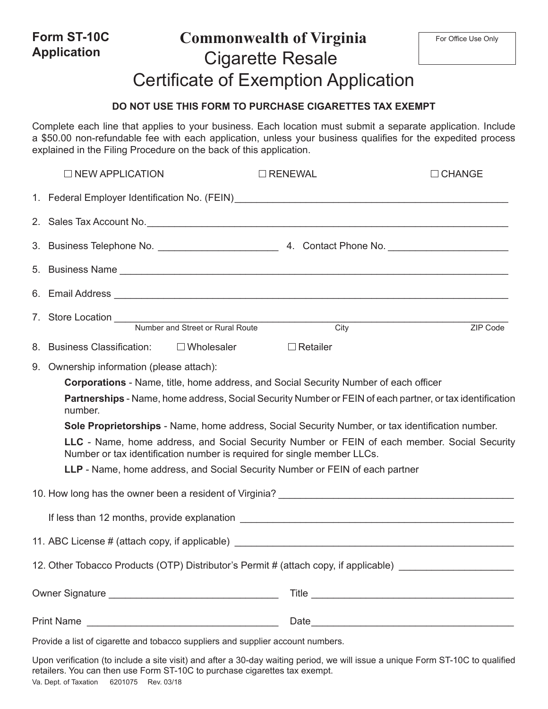| Form ST-10C<br><b>Application</b> |                                                                    | <b>Commonwealth of Virginia</b><br><b>Cigarette Resale</b>                                                                                                                                                                  | For Office Use Only |
|-----------------------------------|--------------------------------------------------------------------|-----------------------------------------------------------------------------------------------------------------------------------------------------------------------------------------------------------------------------|---------------------|
|                                   |                                                                    | <b>Certificate of Exemption Application</b>                                                                                                                                                                                 |                     |
|                                   |                                                                    | DO NOT USE THIS FORM TO PURCHASE CIGARETTES TAX EXEMPT                                                                                                                                                                      |                     |
|                                   | explained in the Filing Procedure on the back of this application. | Complete each line that applies to your business. Each location must submit a separate application. Include<br>a \$50.00 non-refundable fee with each application, unless your business qualifies for the expedited process |                     |
| $\Box$ NEW APPLICATION            |                                                                    | $\Box$ RENEWAL                                                                                                                                                                                                              | $\Box$ CHANGE       |
|                                   |                                                                    |                                                                                                                                                                                                                             |                     |
|                                   |                                                                    | 2. Sales Tax Account No. 2008 Communication of the Sales Tax Account No.                                                                                                                                                    |                     |
|                                   |                                                                    |                                                                                                                                                                                                                             |                     |
|                                   |                                                                    |                                                                                                                                                                                                                             |                     |
|                                   |                                                                    |                                                                                                                                                                                                                             |                     |
| 7.                                |                                                                    | Store Location Mumber and Street or Rural Route<br><b>City</b>                                                                                                                                                              | ZIP Code            |
| 8. Business Classification:       | $\square$ Wholesaler                                               | $\Box$ Retailer                                                                                                                                                                                                             |                     |
|                                   | 9. Ownership information (please attach):                          |                                                                                                                                                                                                                             |                     |
|                                   |                                                                    | <b>Corporations</b> - Name, title, home address, and Social Security Number of each officer<br>Partnerships - Name, home address, Social Security Number or FEIN of each partner, or tax identification                     |                     |
| number.                           |                                                                    |                                                                                                                                                                                                                             |                     |
|                                   |                                                                    | Sole Proprietorships - Name, home address, Social Security Number, or tax identification number.<br>LLC - Name, home address, and Social Security Number or FEIN of each member. Social Security                            |                     |
|                                   |                                                                    | Number or tax identification number is required for single member LLCs.                                                                                                                                                     |                     |
|                                   |                                                                    | LLP - Name, home address, and Social Security Number or FEIN of each partner                                                                                                                                                |                     |
|                                   |                                                                    |                                                                                                                                                                                                                             |                     |
|                                   |                                                                    |                                                                                                                                                                                                                             |                     |
|                                   |                                                                    |                                                                                                                                                                                                                             |                     |
|                                   |                                                                    | 12. Other Tobacco Products (OTP) Distributor's Permit # (attach copy, if applicable) _____________________                                                                                                                  |                     |
|                                   |                                                                    |                                                                                                                                                                                                                             |                     |
|                                   |                                                                    |                                                                                                                                                                                                                             |                     |
|                                   |                                                                    | Deside a list of cinemate and telegees oughless and cumplier account numbers                                                                                                                                                |                     |

Provide a list of cigarette and tobacco suppliers and supplier account numbers.

Upon verification (to include a site visit) and after a 30-day waiting period, we will issue a unique Form ST-10C to qualified retailers. You can then use Form ST-10C to purchase cigarettes tax exempt. Va. Dept. of Taxation 6201075 Rev. 03/18